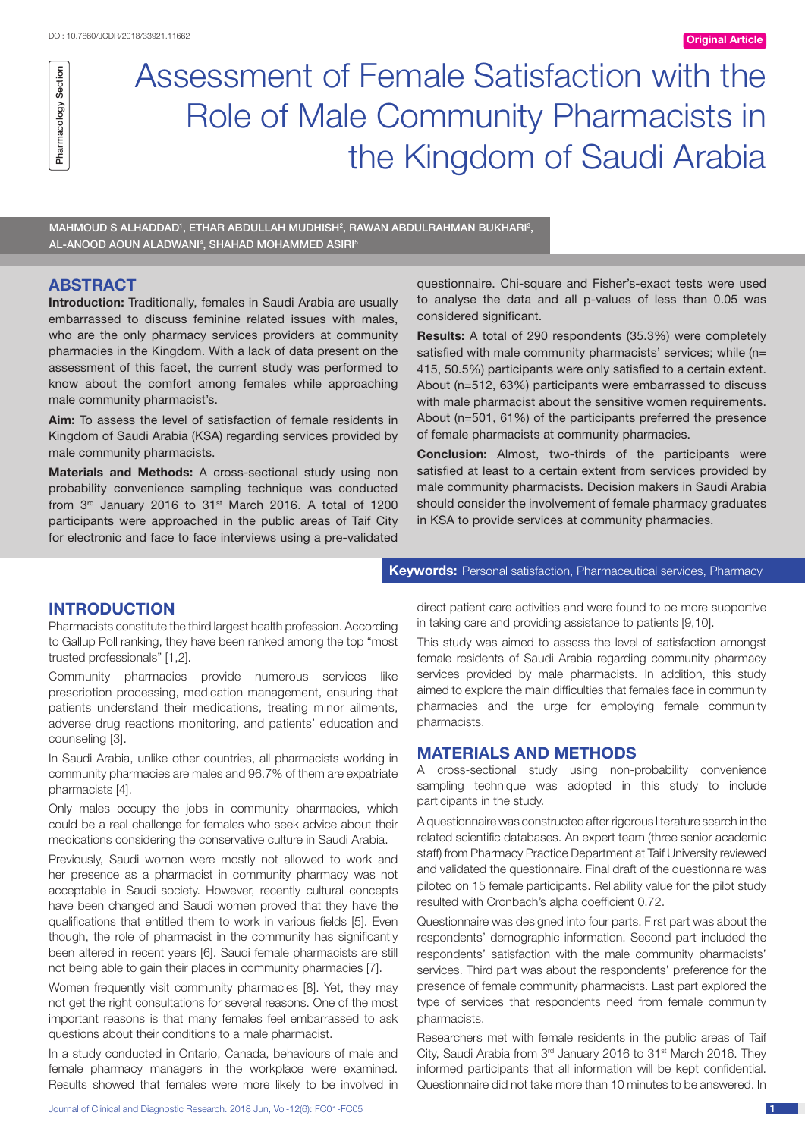## Section Pharmacology Section Pharmacology

# Assessment of Female Satisfaction with the Role of Male Community Pharmacists in the Kingdom of Saudi Arabia

MAHMOUD S ALHADDAD', ETHAR ABDULLAH MUDHISH<sup>2</sup>, RAWAN ABDULRAHMAN BUKHARI<sup>3</sup>, AL-ANOOD AOUN ALADWANI<sup>4</sup>, SHAHAD MOHAMMED ASIRI<sup>5</sup>

#### **ABSTRACT**

**Introduction:** Traditionally, females in Saudi Arabia are usually embarrassed to discuss feminine related issues with males, who are the only pharmacy services providers at community pharmacies in the Kingdom. With a lack of data present on the assessment of this facet, the current study was performed to know about the comfort among females while approaching male community pharmacist's.

**Aim:** To assess the level of satisfaction of female residents in Kingdom of Saudi Arabia (KSA) regarding services provided by male community pharmacists.

**Materials and Methods:** A cross-sectional study using non probability convenience sampling technique was conducted from  $3<sup>rd</sup>$  January 2016 to  $31<sup>st</sup>$  March 2016. A total of 1200 participants were approached in the public areas of Taif City for electronic and face to face interviews using a pre-validated questionnaire. Chi-square and Fisher's-exact tests were used to analyse the data and all p-values of less than 0.05 was considered significant.

**Results:** A total of 290 respondents (35.3%) were completely satisfied with male community pharmacists' services; while (n= 415, 50.5%) participants were only satisfied to a certain extent. About (n=512, 63%) participants were embarrassed to discuss with male pharmacist about the sensitive women requirements. About (n=501, 61%) of the participants preferred the presence of female pharmacists at community pharmacies.

**Conclusion:** Almost, two-thirds of the participants were satisfied at least to a certain extent from services provided by male community pharmacists. Decision makers in Saudi Arabia should consider the involvement of female pharmacy graduates in KSA to provide services at community pharmacies.

#### **INTRODUCTION**

Pharmacists constitute the third largest health profession. According to Gallup Poll ranking, they have been ranked among the top "most trusted professionals" [1,2].

Community pharmacies provide numerous services like prescription processing, medication management, ensuring that patients understand their medications, treating minor ailments, adverse drug reactions monitoring, and patients' education and counseling [3].

In Saudi Arabia, unlike other countries, all pharmacists working in community pharmacies are males and 96.7% of them are expatriate pharmacists [4].

Only males occupy the jobs in community pharmacies, which could be a real challenge for females who seek advice about their medications considering the conservative culture in Saudi Arabia.

Previously, Saudi women were mostly not allowed to work and her presence as a pharmacist in community pharmacy was not acceptable in Saudi society. However, recently cultural concepts have been changed and Saudi women proved that they have the qualifications that entitled them to work in various fields [5]. Even though, the role of pharmacist in the community has significantly been altered in recent years [6]. Saudi female pharmacists are still not being able to gain their places in community pharmacies [7].

Women frequently visit community pharmacies [8]. Yet, they may not get the right consultations for several reasons. One of the most important reasons is that many females feel embarrassed to ask questions about their conditions to a male pharmacist.

In a study conducted in Ontario, Canada, behaviours of male and female pharmacy managers in the workplace were examined. Results showed that females were more likely to be involved in direct patient care activities and were found to be more supportive

**Keywords:** Personal satisfaction, Pharmaceutical services, Pharmacy

in taking care and providing assistance to patients [9,10].

This study was aimed to assess the level of satisfaction amongst female residents of Saudi Arabia regarding community pharmacy services provided by male pharmacists. In addition, this study aimed to explore the main difficulties that females face in community pharmacies and the urge for employing female community pharmacists.

#### **MATERIALS AND METHODS**

A cross-sectional study using non-probability convenience sampling technique was adopted in this study to include participants in the study.

A questionnaire was constructed after rigorous literature search in the related scientific databases. An expert team (three senior academic staff) from Pharmacy Practice Department at Taif University reviewed and validated the questionnaire. Final draft of the questionnaire was piloted on 15 female participants. Reliability value for the pilot study resulted with Cronbach's alpha coefficient 0.72.

Questionnaire was designed into four parts. First part was about the respondents' demographic information. Second part included the respondents' satisfaction with the male community pharmacists' services. Third part was about the respondents' preference for the presence of female community pharmacists. Last part explored the type of services that respondents need from female community pharmacists.

Researchers met with female residents in the public areas of Taif City, Saudi Arabia from 3<sup>rd</sup> January 2016 to 31<sup>st</sup> March 2016. They informed participants that all information will be kept confidential. Questionnaire did not take more than 10 minutes to be answered. In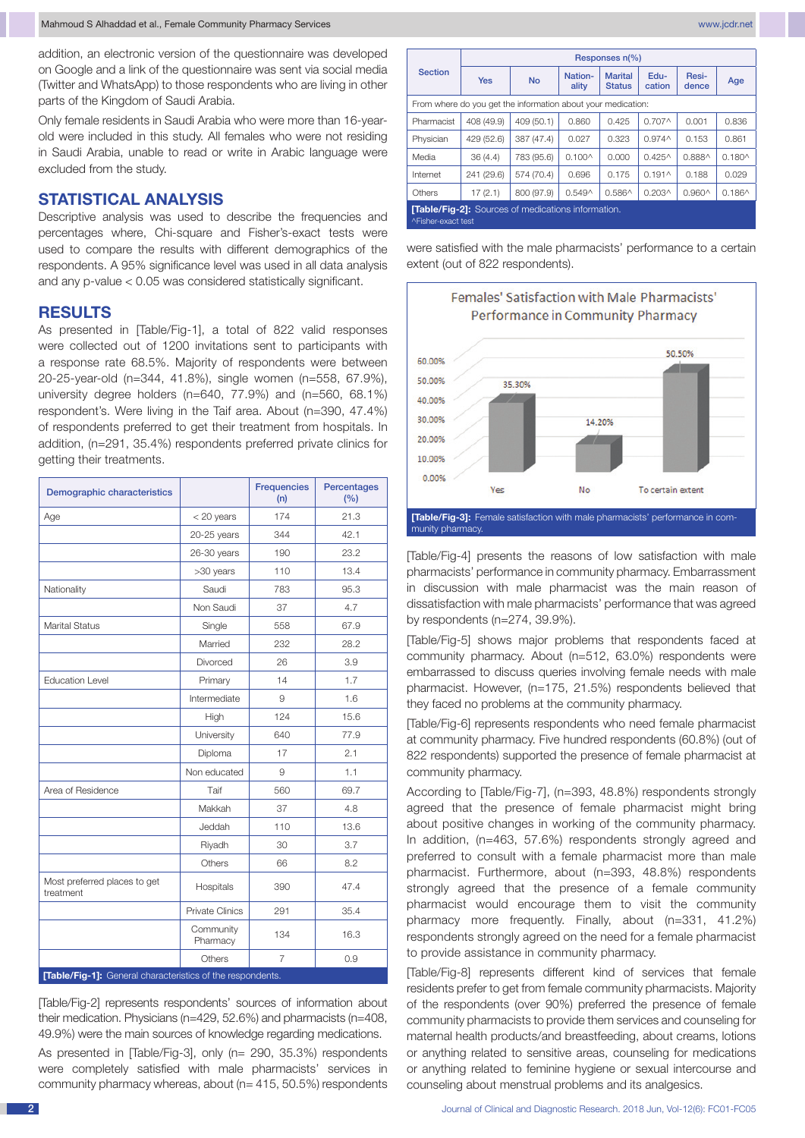addition, an electronic version of the questionnaire was developed on Google and a link of the questionnaire was sent via social media (Twitter and WhatsApp) to those respondents who are living in other parts of the Kingdom of Saudi Arabia.

Only female residents in Saudi Arabia who were more than 16-yearold were included in this study. All females who were not residing in Saudi Arabia, unable to read or write in Arabic language were excluded from the study.

## **statistical analysis**

Descriptive analysis was used to describe the frequencies and percentages where, Chi-square and Fisher's-exact tests were used to compare the results with different demographics of the respondents. A 95% significance level was used in all data analysis and any p-value < 0.05 was considered statistically significant.

#### **RESULTS**

As presented in [Table/Fig-1], a total of 822 valid responses were collected out of 1200 invitations sent to participants with a response rate 68.5%. Majority of respondents were between 20-25-year-old (n=344, 41.8%), single women (n=558, 67.9%), university degree holders (n=640, 77.9%) and (n=560, 68.1%) respondent's. Were living in the Taif area. About (n=390, 47.4%) of respondents preferred to get their treatment from hospitals. In addition, (n=291, 35.4%) respondents preferred private clinics for getting their treatments.

| Demographic characteristics               |                        | <b>Frequencies</b><br>(n) | Percentages<br>(%) |  |
|-------------------------------------------|------------------------|---------------------------|--------------------|--|
| Age                                       | $<$ 20 years           | 174                       | 21.3               |  |
|                                           | $20-25$ years          | 344                       | 42.1               |  |
|                                           | 26-30 years            | 190                       | 23.2               |  |
|                                           | >30 years              | 110                       | 13.4               |  |
| Nationality                               | Saudi                  | 783                       | 95.3               |  |
|                                           | Non Saudi              | 37                        | 4.7                |  |
| <b>Marital Status</b>                     | Single                 | 558                       | 67.9               |  |
|                                           | Married                | 232                       | 28.2               |  |
|                                           | Divorced               | 26                        | 3.9                |  |
| <b>Education Level</b>                    | Primary                | 14                        | 1.7                |  |
|                                           | Intermediate           | 9                         | 1.6                |  |
|                                           | High                   | 124                       | 15.6               |  |
|                                           | University             | 640                       | 77.9               |  |
|                                           | Diploma                | 17                        | 2.1                |  |
|                                           | Non educated           | 9                         | 1.1                |  |
| Area of Residence                         | Taif                   | 560                       | 69.7               |  |
|                                           | Makkah                 | 37                        | 4.8                |  |
|                                           | Jeddah                 | 110                       | 13.6               |  |
|                                           | Riyadh                 | 30                        | 3.7                |  |
|                                           | Others                 | 66                        | 8.2                |  |
| Most preferred places to get<br>treatment | Hospitals              | 390                       | 47.4               |  |
|                                           | <b>Private Clinics</b> | 291                       | 35.4               |  |
|                                           | Community<br>Pharmacy  | 134                       | 16.3               |  |
|                                           | Others                 | $\overline{7}$            | 0.9                |  |

**[Table/Fig-1]:** General characterist

[Table/Fig-2] represents respondents' sources of information about their medication. Physicians (n=429, 52.6%) and pharmacists (n=408, 49.9%) were the main sources of knowledge regarding medications.

As presented in [Table/Fig-3], only (n= 290, 35.3%) respondents were completely satisfied with male pharmacists' services in community pharmacy whereas, about (n= 415, 50.5%) respondents

|                                                                                 | Responses n(%) |            |                  |                                 |                    |                 |                 |  |  |  |
|---------------------------------------------------------------------------------|----------------|------------|------------------|---------------------------------|--------------------|-----------------|-----------------|--|--|--|
| <b>Section</b>                                                                  | <b>Yes</b>     | <b>No</b>  | Nation-<br>ality | <b>Marital</b><br><b>Status</b> | Edu-<br>cation     | Resi-<br>dence  | Age             |  |  |  |
| From where do you get the information about your medication:                    |                |            |                  |                                 |                    |                 |                 |  |  |  |
| Pharmacist                                                                      | 408 (49.9)     | 409 (50.1) | 0.860            | 0.425                           | 0.707 <sub>0</sub> | 0.001           | 0.836           |  |  |  |
| Physician                                                                       | 429 (52.6)     | 387 (47.4) | 0.027            | 0.323                           | 0.974 <sub>0</sub> | 0.153           | 0.861           |  |  |  |
| Media                                                                           | 36(4.4)        | 783 (95.6) | $0.100^{\circ}$  | 0.000                           | $0.425^$           | 0.888^          | $0.180^{\circ}$ |  |  |  |
| Internet                                                                        | 241 (29.6)     | 574 (70.4) | 0.696            | 0.175                           | $0.191 \wedge$     | 0.188           | 0.029           |  |  |  |
| Others                                                                          | 17(2.1)        | 800 (97.9) | $0.549^$         | 0.586^                          | $0.203^$           | $0.960^{\circ}$ | $0.186^$        |  |  |  |
| <b>[Table/Fig-2]:</b> Sources of medications information.<br>^Fisher-exact test |                |            |                  |                                 |                    |                 |                 |  |  |  |

were satisfied with the male pharmacists' performance to a certain extent (out of 822 respondents).



[Table/Fig-4] presents the reasons of low satisfaction with male pharmacists' performance in community pharmacy. Embarrassment in discussion with male pharmacist was the main reason of dissatisfaction with male pharmacists' performance that was agreed by respondents (n=274, 39.9%).

[Table/Fig-5] shows major problems that respondents faced at community pharmacy. About (n=512, 63.0%) respondents were embarrassed to discuss queries involving female needs with male pharmacist. However, (n=175, 21.5%) respondents believed that they faced no problems at the community pharmacy.

[Table/Fig-6] represents respondents who need female pharmacist at community pharmacy. Five hundred respondents (60.8%) (out of 822 respondents) supported the presence of female pharmacist at community pharmacy.

According to [Table/Fig-7], (n=393, 48.8%) respondents strongly agreed that the presence of female pharmacist might bring about positive changes in working of the community pharmacy. In addition, (n=463, 57.6%) respondents strongly agreed and preferred to consult with a female pharmacist more than male pharmacist. Furthermore, about (n=393, 48.8%) respondents strongly agreed that the presence of a female community pharmacist would encourage them to visit the community pharmacy more frequently. Finally, about (n=331, 41.2%) respondents strongly agreed on the need for a female pharmacist to provide assistance in community pharmacy.

[Table/Fig-8] represents different kind of services that female residents prefer to get from female community pharmacists. Majority of the respondents (over 90%) preferred the presence of female community pharmacists to provide them services and counseling for maternal health products/and breastfeeding, about creams, lotions or anything related to sensitive areas, counseling for medications or anything related to feminine hygiene or sexual intercourse and counseling about menstrual problems and its analgesics.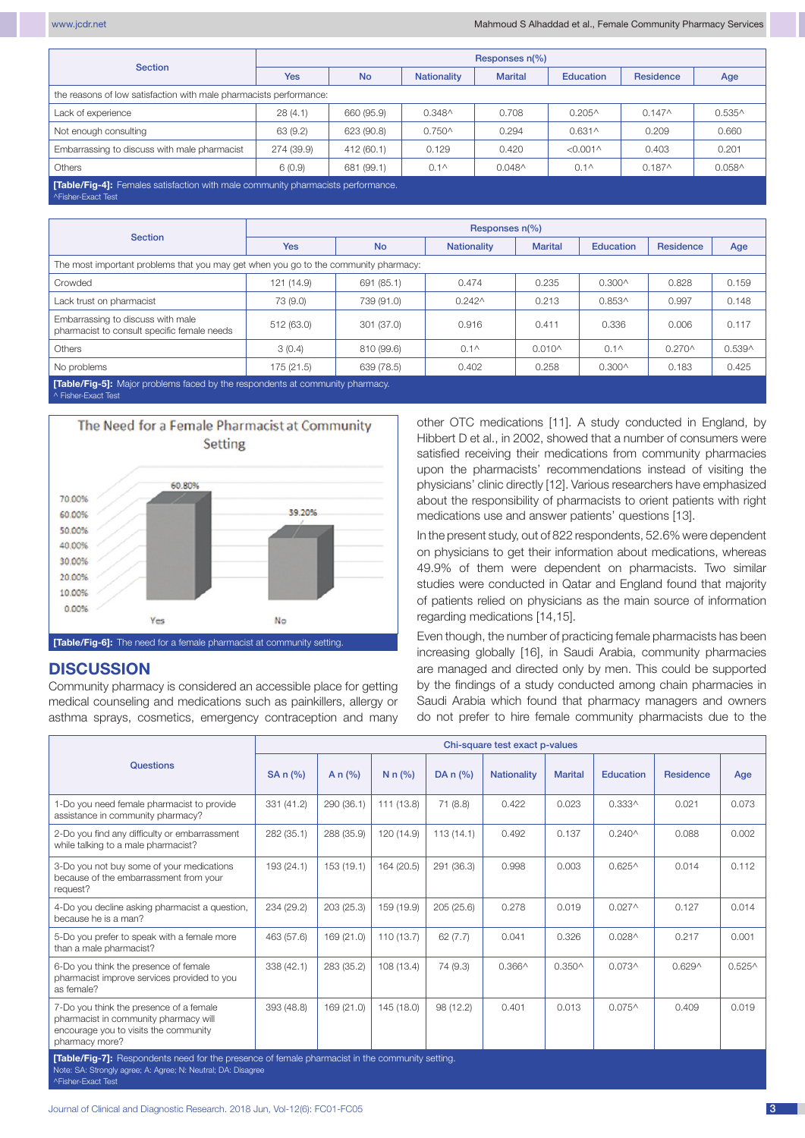| <b>Section</b>                                                                                               | Responses $n(\%)$ |            |                    |                |                  |           |                 |  |  |  |
|--------------------------------------------------------------------------------------------------------------|-------------------|------------|--------------------|----------------|------------------|-----------|-----------------|--|--|--|
|                                                                                                              | <b>Yes</b>        | <b>No</b>  | <b>Nationality</b> | <b>Marital</b> | Education        | Residence | Age             |  |  |  |
| the reasons of low satisfaction with male pharmacists performance:                                           |                   |            |                    |                |                  |           |                 |  |  |  |
| Lack of experience                                                                                           | 28(4.1)           | 660 (95.9) | $0.348^$           | 0.708          | $0.205^{\circ}$  | $0.147^$  | $0.535^$        |  |  |  |
| Not enough consulting                                                                                        | 63 (9.2)          | 623 (90.8) | $0.750^{\circ}$    | 0.294          | $0.631^$         | 0.209     | 0.660           |  |  |  |
| Embarrassing to discuss with male pharmacist                                                                 | 274 (39.9)        | 412 (60.1) | 0.129              | 0.420          | $< 0.001 \wedge$ | 0.403     | 0.201           |  |  |  |
| <b>Others</b>                                                                                                | 6(0.9)            | 681 (99.1) | $0.1^{\circ}$      | $0.048^$       | $0.1^{\circ}$    | $0.187^$  | $0.058^{\circ}$ |  |  |  |
| <b>Table/Fig-4]:</b> Females satisfaction with male community pharmacists performance.<br>^Fisher-Exact Test |                   |            |                    |                |                  |           |                 |  |  |  |

| <b>Section</b>                                                                       | Responses n(%) |            |                                      |                 |                |                  |          |  |  |  |
|--------------------------------------------------------------------------------------|----------------|------------|--------------------------------------|-----------------|----------------|------------------|----------|--|--|--|
|                                                                                      | <b>Yes</b>     | <b>No</b>  | <b>Nationality</b><br><b>Marital</b> |                 | Education      | <b>Residence</b> | Age      |  |  |  |
| The most important problems that you may get when you go to the community pharmacy:  |                |            |                                      |                 |                |                  |          |  |  |  |
| Crowded                                                                              | 121 (14.9)     | 691 (85.1) | 0.474                                | 0.235           | $0.300^$       | 0.828            | 0.159    |  |  |  |
| Lack trust on pharmacist                                                             | 73 (9.0)       | 739 (91.0) | $0.242^$                             | 0.213           | $0.853^$       | 0.997            | 0.148    |  |  |  |
| Embarrassing to discuss with male<br>pharmacist to consult specific female needs     | 512 (63.0)     | 301 (37.0) | 0.916                                | 0.411           | 0.336          | 0.006            | 0.117    |  |  |  |
| <b>Others</b>                                                                        | 3(0.4)         | 810 (99.6) | $0.1^{\circ}$                        | $0.010^{\circ}$ | $0.1^{\wedge}$ | $0.270^{\circ}$  | $0.539^$ |  |  |  |
| No problems                                                                          | 175 (21.5)     | 639 (78.5) | 0.402                                | 0.258           | $0.300^$       | 0.183            | 0.425    |  |  |  |
| <b>[Table/Fig-5]:</b> Major problems faced by the respondents at community pharmacy. |                |            |                                      |                 |                |                  |          |  |  |  |

^ Fisher-Exact Test



## **DISCUSSION**

Community pharmacy is considered an accessible place for getting medical counseling and medications such as painkillers, allergy or asthma sprays, cosmetics, emergency contraception and many other OTC medications [11]. A study conducted in England, by Hibbert D et al., in 2002, showed that a number of consumers were satisfied receiving their medications from community pharmacies upon the pharmacists' recommendations instead of visiting the physicians' clinic directly [12]. Various researchers have emphasized about the responsibility of pharmacists to orient patients with right medications use and answer patients' questions [13].

In the present study, out of 822 respondents, 52.6% were dependent on physicians to get their information about medications, whereas 49.9% of them were dependent on pharmacists. Two similar studies were conducted in Qatar and England found that majority of patients relied on physicians as the main source of information regarding medications [14,15].

Even though, the number of practicing female pharmacists has been increasing globally [16], in Saudi Arabia, community pharmacies are managed and directed only by men. This could be supported by the findings of a study conducted among chain pharmacies in Saudi Arabia which found that pharmacy managers and owners do not prefer to hire female community pharmacists due to the

| <b>Questions</b>                                                                                                                            |            |            |            |            | Chi-square test exact p-values |                 |                    |                  |                  |  |  |  |  |
|---------------------------------------------------------------------------------------------------------------------------------------------|------------|------------|------------|------------|--------------------------------|-----------------|--------------------|------------------|------------------|--|--|--|--|
|                                                                                                                                             | SA n (%)   | A $n$ (%)  | N $n$ (%)  | DA $n$ (%) | <b>Nationality</b>             | <b>Marital</b>  | <b>Education</b>   | <b>Residence</b> | Age              |  |  |  |  |
| 1-Do you need female pharmacist to provide<br>assistance in community pharmacy?                                                             | 331 (41.2) | 290 (36.1) | 111 (13.8) | 71 (8.8)   | 0.422                          | 0.023           | $0.333^{\wedge}$   | 0.021            | 0.073            |  |  |  |  |
| 2-Do you find any difficulty or embarrassment<br>while talking to a male pharmacist?                                                        | 282 (35.1) | 288 (35.9) | 120 (14.9) | 113(14.1)  | 0.492                          | 0.137           | $0.240^{\circ}$    | 0.088            | 0.002            |  |  |  |  |
| 3-Do you not buy some of your medications<br>because of the embarrassment from your<br>request?                                             | 193 (24.1) | 153 (19.1) | 164 (20.5) | 291 (36.3) | 0.998                          | 0.003           | $0.625^{\circ}$    | 0.014            | 0.112            |  |  |  |  |
| 4-Do you decline asking pharmacist a question,<br>because he is a man?                                                                      | 234 (29.2) | 203 (25.3) | 159 (19.9) | 205(25.6)  | 0.278                          | 0.019           | 0.027 <sub>0</sub> | 0.127            | 0.014            |  |  |  |  |
| 5-Do you prefer to speak with a female more<br>than a male pharmacist?                                                                      | 463 (57.6) | 169 (21.0) | 110(13.7)  | 62(7.7)    | 0.041                          | 0.326           | $0.028^$           | 0.217            | 0.001            |  |  |  |  |
| 6-Do you think the presence of female<br>pharmacist improve services provided to you<br>as female?                                          | 338 (42.1) | 283 (35.2) | 108(13.4)  | 74 (9.3)   | $0.366^{\wedge}$               | $0.350^{\circ}$ | $0.073^$           | $0.629^$         | $0.525^{\wedge}$ |  |  |  |  |
| 7-Do you think the presence of a female<br>pharmacist in community pharmacy will<br>encourage you to visits the community<br>pharmacy more? | 393 (48.8) | 169 (21.0) | 145 (18.0) | 98(12.2)   | 0.401                          | 0.013           | $0.075^{\circ}$    | 0.409            | 0.019            |  |  |  |  |
| $\mathsf{T}_\mathsf{H}$ is $\mathsf{H}_\mathsf{H}$ . Deparaded paral for the process of formal phorocociation the community cetting         |            |            |            |            |                                |                 |                    |                  |                  |  |  |  |  |

**[Table/Fig-7]:** Respondents need for the presence of female pharmacist in the community setting. Note: SA: Strongly agree; A: Agree; N: Neutral; DA: Disagree ^Fisher-Exact Test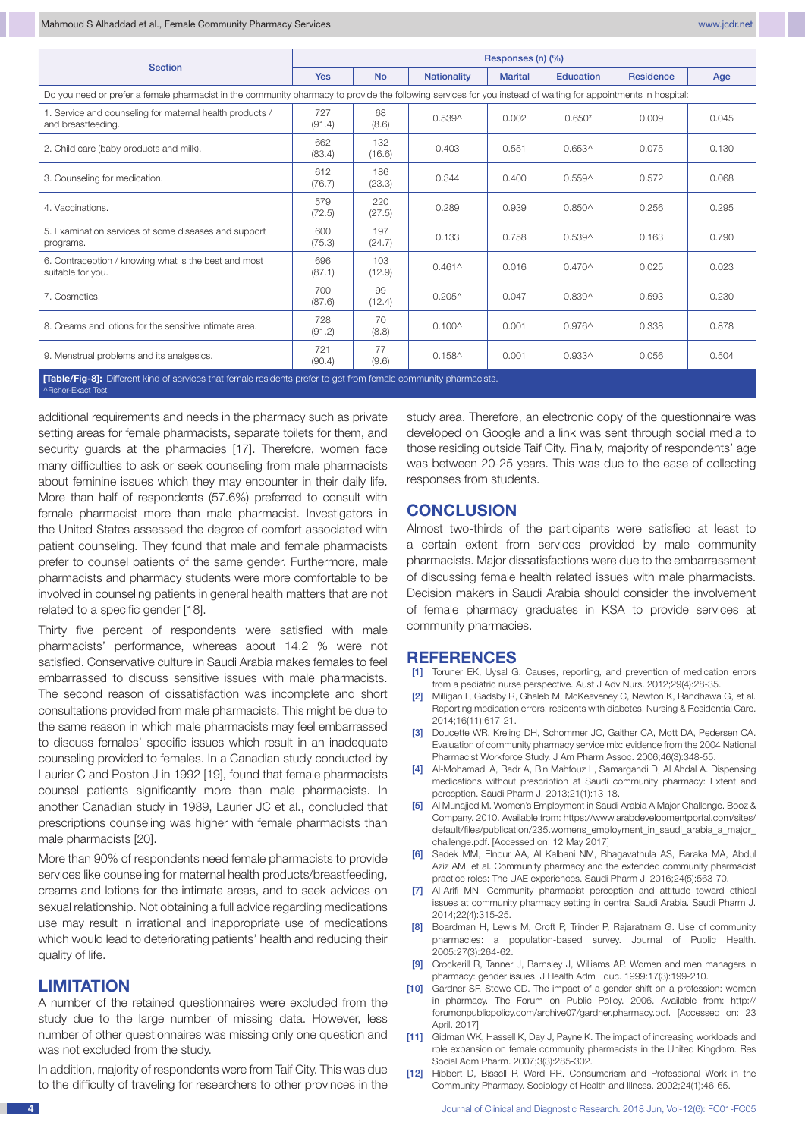| <b>Section</b>                                                                                                                                                 | Responses (n) (%) |               |                    |                |                 |                  |       |  |  |
|----------------------------------------------------------------------------------------------------------------------------------------------------------------|-------------------|---------------|--------------------|----------------|-----------------|------------------|-------|--|--|
|                                                                                                                                                                | <b>Yes</b>        | <b>No</b>     | <b>Nationality</b> | <b>Marital</b> | Education       | <b>Residence</b> | Age   |  |  |
| Do you need or prefer a female pharmacist in the community pharmacy to provide the following services for you instead of waiting for appointments in hospital: |                   |               |                    |                |                 |                  |       |  |  |
| 1. Service and counseling for maternal health products /<br>and breastfeeding.                                                                                 | 727<br>(91.4)     | 68<br>(8.6)   | $0.539^$           | 0.002          | $0.650*$        | 0.009            | 0.045 |  |  |
| 2. Child care (baby products and milk).                                                                                                                        | 662<br>(83.4)     | 132<br>(16.6) | 0.403              | 0.551          | $0.653^$        | 0.075            | 0.130 |  |  |
| 3. Counseling for medication.                                                                                                                                  | 612<br>(76.7)     | 186<br>(23.3) | 0.344              | 0.400          | $0.559^$        | 0.572            | 0.068 |  |  |
| 4. Vaccinations.                                                                                                                                               | 579<br>(72.5)     | 220<br>(27.5) | 0.289              | 0.939          | $0.850^{\circ}$ | 0.256            | 0.295 |  |  |
| 5. Examination services of some diseases and support<br>programs.                                                                                              | 600<br>(75.3)     | 197<br>(24.7) | 0.133              | 0.758          | $0.539^$        | 0.163            | 0.790 |  |  |
| 6. Contraception / knowing what is the best and most<br>suitable for you.                                                                                      | 696<br>(87.1)     | 103<br>(12.9) | $0.461^$           | 0.016          | $0.470^$        | 0.025            | 0.023 |  |  |
| 7. Cosmetics.                                                                                                                                                  | 700<br>(87.6)     | 99<br>(12.4)  | $0.205^$           | 0.047          | 0.839^          | 0.593            | 0.230 |  |  |
| 8. Creams and lotions for the sensitive intimate area.                                                                                                         | 728<br>(91.2)     | 70<br>(8.8)   | $0.100^$           | 0.001          | $0.976^$        | 0.338            | 0.878 |  |  |
| 9. Menstrual problems and its analgesics.                                                                                                                      | 721<br>(90.4)     | 77<br>(9.6)   | $0.158^$           | 0.001          | $0.933^$        | 0.056            | 0.504 |  |  |
| [Table/Fig-8]: Different kind of services that female residents prefer to get from female community pharmacists.<br>^Fisher-Exact Test                         |                   |               |                    |                |                 |                  |       |  |  |

additional requirements and needs in the pharmacy such as private setting areas for female pharmacists, separate toilets for them, and security guards at the pharmacies [17]. Therefore, women face many difficulties to ask or seek counseling from male pharmacists about feminine issues which they may encounter in their daily life. More than half of respondents (57.6%) preferred to consult with female pharmacist more than male pharmacist. Investigators in the United States assessed the degree of comfort associated with patient counseling. They found that male and female pharmacists prefer to counsel patients of the same gender. Furthermore, male pharmacists and pharmacy students were more comfortable to be involved in counseling patients in general health matters that are not related to a specific gender [18].

Thirty five percent of respondents were satisfied with male pharmacists' performance, whereas about 14.2 % were not satisfied. Conservative culture in Saudi Arabia makes females to feel embarrassed to discuss sensitive issues with male pharmacists. The second reason of dissatisfaction was incomplete and short consultations provided from male pharmacists. This might be due to the same reason in which male pharmacists may feel embarrassed to discuss females' specific issues which result in an inadequate counseling provided to females. In a Canadian study conducted by Laurier C and Poston J in 1992 [19], found that female pharmacists counsel patients significantly more than male pharmacists. In another Canadian study in 1989, Laurier JC et al., concluded that prescriptions counseling was higher with female pharmacists than male pharmacists [20].

More than 90% of respondents need female pharmacists to provide services like counseling for maternal health products/breastfeeding, creams and lotions for the intimate areas, and to seek advices on sexual relationship. Not obtaining a full advice regarding medications use may result in irrational and inappropriate use of medications which would lead to deteriorating patients' health and reducing their quality of life.

### **LIMITATION**

A number of the retained questionnaires were excluded from the study due to the large number of missing data. However, less number of other questionnaires was missing only one question and was not excluded from the study.

In addition, majority of respondents were from Taif City. This was due to the difficulty of traveling for researchers to other provinces in the study area. Therefore, an electronic copy of the questionnaire was developed on Google and a link was sent through social media to those residing outside Taif City. Finally, majority of respondents' age was between 20-25 years. This was due to the ease of collecting responses from students.

#### **CONCLUSION**

Almost two-thirds of the participants were satisfied at least to a certain extent from services provided by male community pharmacists. Major dissatisfactions were due to the embarrassment of discussing female health related issues with male pharmacists. Decision makers in Saudi Arabia should consider the involvement of female pharmacy graduates in KSA to provide services at community pharmacies.

#### **REFERENCES**

- [1] Toruner EK, Uysal G. Causes, reporting, and prevention of medication errors from a pediatric nurse perspective. Aust J Adv Nurs. 2012;29(4):28-35.
- Milligan F, Gadsby R, Ghaleb M, McKeaveney C, Newton K, Randhawa G, et al. Reporting medication errors: residents with diabetes. Nursing & Residential Care. 2014;16(11):617-21.
- [3] Doucette WR, Kreling DH, Schommer JC, Gaither CA, Mott DA, Pedersen CA. Evaluation of community pharmacy service mix: evidence from the 2004 National Pharmacist Workforce Study. J Am Pharm Assoc. 2006;46(3):348-55.
- [4] Al-Mohamadi A, Badr A, Bin Mahfouz L, Samargandi D, Al Ahdal A. Dispensing medications without prescription at Saudi community pharmacy: Extent and perception. Saudi Pharm J. 2013;21(1):13-18.
- [5] Al Munajjed M. Women's Employment in Saudi Arabia A Major Challenge. Booz & Company. 2010. Available from: https://www.arabdevelopmentportal.com/sites/ default/files/publication/235.womens\_employment\_in\_saudi\_arabia\_a\_major\_ challenge.pdf. [Accessed on: 12 May 2017]
- [6] Sadek MM, Elnour AA, Al Kalbani NM, Bhagavathula AS, Baraka MA, Abdul Aziz AM, et al. Community pharmacy and the extended community pharmacist practice roles: The UAE experiences. Saudi Pharm J. 2016;24(5):563-70.
- [7] Al-Arifi MN. Community pharmacist perception and attitude toward ethical issues at community pharmacy setting in central Saudi Arabia. Saudi Pharm J. 2014;22(4):315-25.
- [8] Boardman H, Lewis M, Croft P, Trinder P, Rajaratnam G. Use of community pharmacies: a population-based survey. Journal of Public Health. 2005:27(3):264-62.
- [9] Crockerill R, Tanner J, Barnsley J, Williams AP. Women and men managers in pharmacy: gender issues. J Health Adm Educ. 1999:17(3):199-210.
- [10] Gardner SF, Stowe CD. The impact of a gender shift on a profession: women in pharmacy. The Forum on Public Policy. 2006. Available from: http:// forumonpublicpolicy.com/archive07/gardner.pharmacy.pdf. [Accessed on: 23 April. 2017]
- [11] Gidman WK, Hassell K, Day J, Payne K. The impact of increasing workloads and role expansion on female community pharmacists in the United Kingdom. Res Social Adm Pharm. 2007;3(3):285-302.
- [12] Hibbert D, Bissell P, Ward PR. Consumerism and Professional Work in the Community Pharmacy. Sociology of Health and Illness. 2002;24(1):46-65.